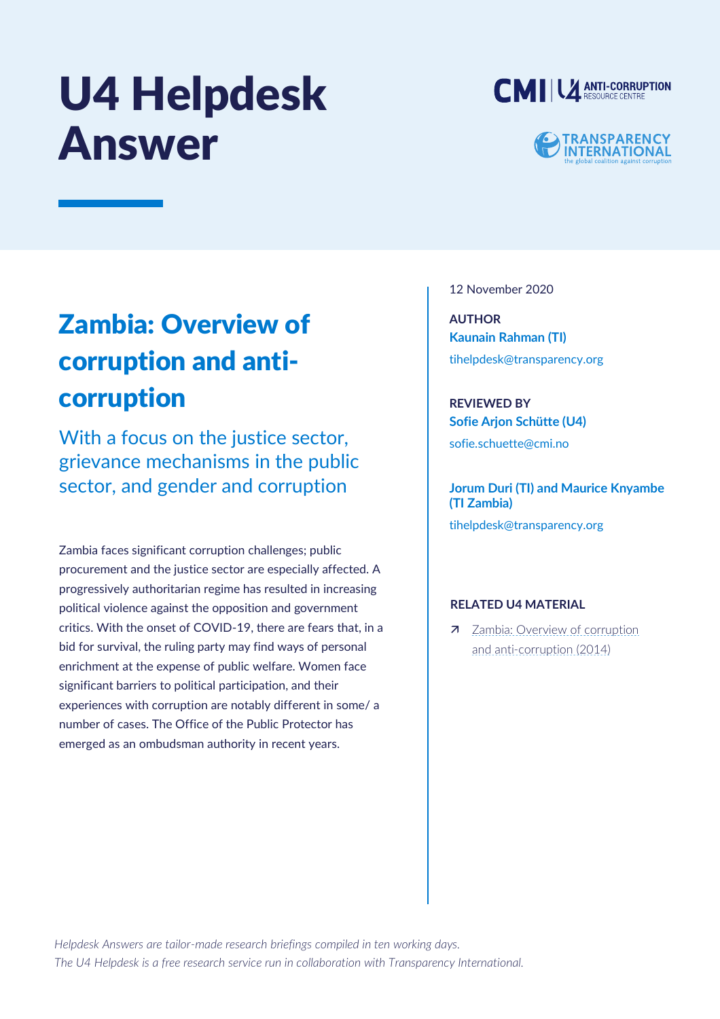# U4 Helpdesk Answer



## **TRANSPARENCY<br>INTERNATIONAL**

### Zambia: Overview of corruption and anticorruption

With a focus on the justice sector, grievance mechanisms in the public sector, and gender and corruption

Zambia faces significant corruption challenges; public procurement and the justice sector are especially affected. A progressively authoritarian regime has resulted in increasing political violence against the opposition and government critics. With the onset of COVID-19, there are fears that, in a bid for survival, the ruling party may find ways of personal enrichment at the expense of public welfare. Women face significant barriers to political participation, and their experiences with corruption are notably different in some/ a number of cases. The Office of the Public Protector has emerged as an ombudsman authority in recent years.

12 November 2020

**AUTHOR Kaunain Rahman (TI)** [tihelpdesk@transparency.org](mailto:tihelpdesk@transparency.org)

**REVIEWED BY Sofie Arjon Schütte (U4)** sofie.schuette@cmi.no

**Jorum Duri (TI) and Maurice Knyambe (TI Zambia)** [tihelpdesk@transparency.org](mailto:tihelpdesk@transparency.org)

#### **RELATED U4 MATERIAL**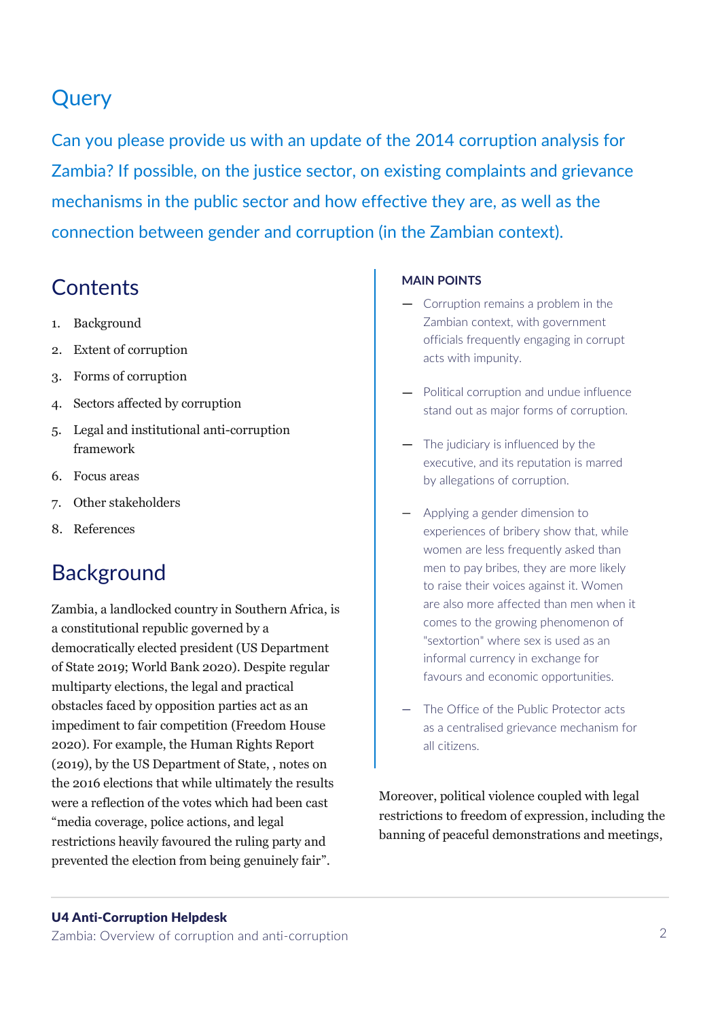### **Query**

Can you please provide us with an update of the 2014 corruption analysis for Zambia? If possible, on the justice sector, on existing complaints and grievance mechanisms in the public sector and how effective they are, as well as the connection between gender and corruption (in the Zambian context).

### **Contents**

- 1. Background
- 2. Extent of corruption
- 3. Forms of corruption
- 4. Sectors affected by corruption
- 5. Legal and institutional anti-corruption framework
- 6. Focus areas
- 7. Other stakeholders
- 8. References

### **Background**

Zambia, a landlocked country in Southern Africa, is a constitutional republic governed by a democratically elected president (US Department of State 2019; World Bank 2020). Despite regular multiparty elections, the legal and practical obstacles faced by opposition parties act as an impediment to fair competition (Freedom House 2020). For example, the Human Rights Report (2019), by the US Department of State, , notes on the 2016 elections that while ultimately the results were a reflection of the votes which had been cast "media coverage, police actions, and legal restrictions heavily favoured the ruling party and prevented the election from being genuinely fair".

#### **MAIN POINTS**

- Corruption remains a problem in the Zambian context, with government officials frequently engaging in corrupt acts with impunity.
- Political corruption and undue influence stand out as major forms of corruption.
- The judiciary is influenced by the executive, and its reputation is marred by allegations of corruption.
- Applying a gender dimension to experiences of bribery show that, while women are less frequently asked than men to pay bribes, they are more likely to raise their voices against it. Women are also more affected than men when it comes to the growing phenomenon of "sextortion" where sex is used as an informal currency in exchange for favours and economic opportunities.
- The Office of the Public Protector acts as a centralised grievance mechanism for all citizens.

Moreover, political violence coupled with legal restrictions to freedom of expression, including the banning of peaceful demonstrations and meetings,

#### U4 Anti-Corruption Helpdesk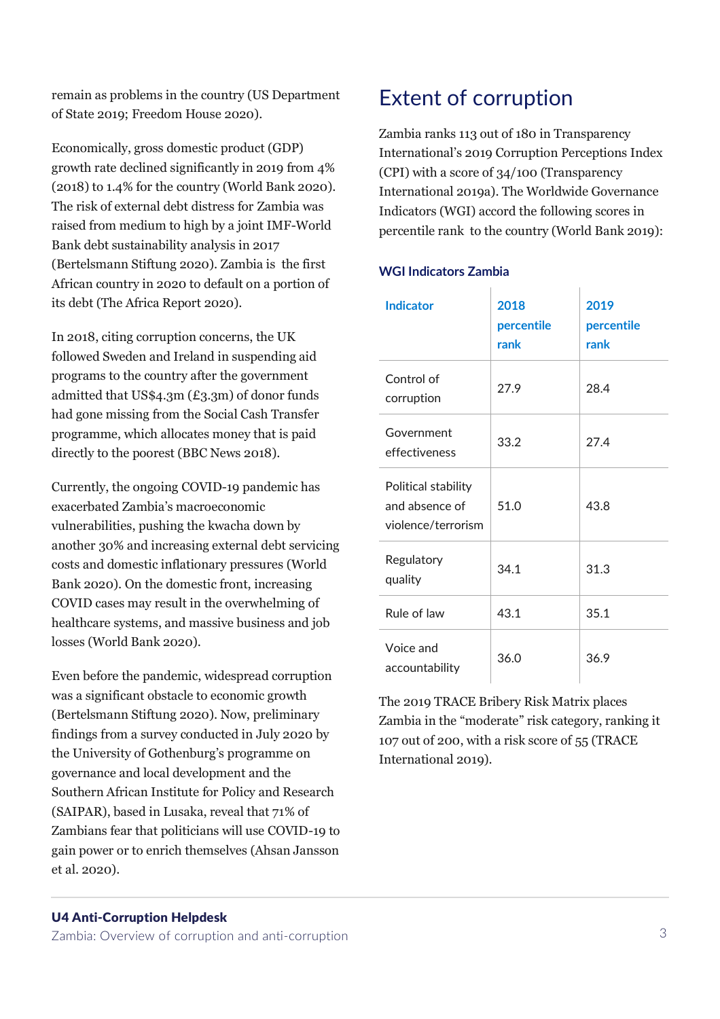remain as problems in the country (US Department of State 2019; Freedom House 2020).

Economically, gross domestic product (GDP) growth rate declined significantly in 2019 from 4% (2018) to 1.4% for the country (World Bank 2020). The risk of external debt distress for Zambia was raised from medium to high by a joint IMF-World Bank debt sustainability analysis in 2017 (Bertelsmann Stiftung 2020). Zambia is the first African country in 2020 to default on a portion of its debt (The Africa Report 2020).

In 2018, citing corruption concerns, the UK followed Sweden and Ireland in suspending aid programs to the country after the government admitted that US\$4.3m (£3.3m) of donor funds had gone missing from the Social Cash Transfer programme, which allocates money that is paid directly to the poorest (BBC News 2018).

Currently, the ongoing COVID-19 pandemic has exacerbated Zambia's macroeconomic vulnerabilities, pushing the kwacha down by another 30% and increasing external debt servicing costs and domestic inflationary pressures (World Bank 2020). On the domestic front, increasing COVID cases may result in the overwhelming of healthcare systems, and massive business and job losses (World Bank 2020).

Even before the pandemic, widespread corruption was a significant obstacle to economic growth (Bertelsmann Stiftung 2020). Now, preliminary findings from a survey conducted in July 2020 by the University of Gothenburg's programme on governance and local development and the Southern African Institute for Policy and Research (SAIPAR), based in Lusaka, reveal that 71% of Zambians fear that politicians will use COVID-19 to gain power or to enrich themselves (Ahsan Jansson et al. 2020).

### Extent of corruption

Zambia ranks 113 out of 180 in Transparency International's 2019 Corruption Perceptions Index (CPI) with a score of 34/100 (Transparency International 2019a). The Worldwide Governance Indicators (WGI) accord the following scores in percentile rank to the country (World Bank 2019):

#### **WGI Indicators Zambia**

| <b>Indicator</b>                                            | 2018<br>percentile<br>rank | 2019<br>percentile<br>rank |
|-------------------------------------------------------------|----------------------------|----------------------------|
| Control of<br>corruption                                    | 27.9                       | 28.4                       |
| Government<br>effectiveness                                 | 33.2                       | 27.4                       |
| Political stability<br>and absence of<br>violence/terrorism | 51.0                       | 43.8                       |
| Regulatory<br>quality                                       | 34.1                       | 31.3                       |
| Rule of law                                                 | 43.1                       | 35.1                       |
| Voice and<br>accountability                                 | 36.0                       | 36.9                       |

The 2019 TRACE Bribery Risk Matrix places Zambia in the "moderate" risk category, ranking it 107 out of 200, with a risk score of 55 (TRACE International 2019).

#### U4 Anti-Corruption Helpdesk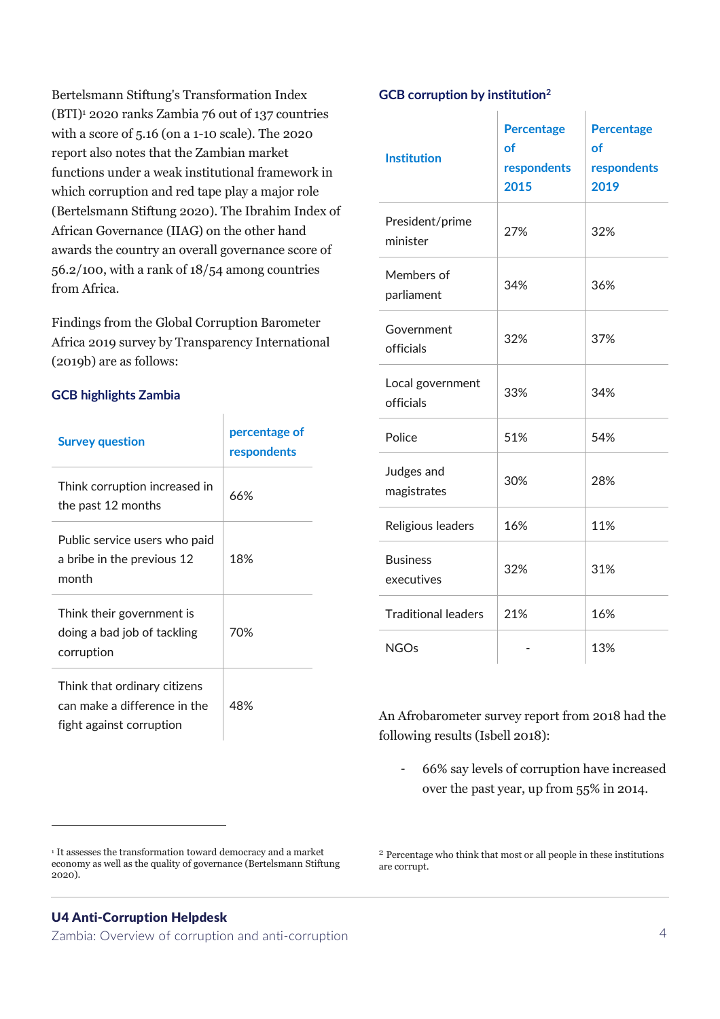Bertelsmann Stiftung's Transformation Index (BTI)<sup>1</sup> 2020 ranks Zambia 76 out of 137 countries with a score of 5.16 (on a 1-10 scale). The 2020 report also notes that the Zambian market functions under a weak institutional framework in which corruption and red tape play a major role (Bertelsmann Stiftung 2020). The Ibrahim Index of African Governance (IIAG) on the other hand awards the country an overall governance score of 56.2/100, with a rank of 18/54 among countries from Africa.

Findings from the Global Corruption Barometer Africa 2019 survey by Transparency International (2019b) are as follows:

#### **GCB highlights Zambia**

| <b>Survey question</b>                                                                   | percentage of<br>respondents |
|------------------------------------------------------------------------------------------|------------------------------|
| Think corruption increased in<br>the past 12 months                                      | 66%                          |
| Public service users who paid<br>a bribe in the previous 12<br>month                     | 18%                          |
| Think their government is<br>doing a bad job of tackling<br>corruption                   | 70%                          |
| Think that ordinary citizens<br>can make a difference in the<br>fight against corruption | 48%                          |

<sup>1</sup> It assesses the transformation toward democracy and a market economy as well as the quality of governance (Bertelsmann Stiftung 2020).

#### U4 Anti-Corruption Helpdesk

Zambia: Overview of corruption and anti-corruption 4

#### **GCB corruption by institution<sup>2</sup>**

 $\overline{1}$ 

| <b>Institution</b>            | <b>Percentage</b><br>οf<br>respondents<br>2015 | <b>Percentage</b><br>οf<br>respondents<br>2019 |
|-------------------------------|------------------------------------------------|------------------------------------------------|
| President/prime<br>minister   | 27%                                            | 32%                                            |
| Members of<br>parliament      | 34%                                            | 36%                                            |
| Government<br>officials       | 32%                                            | 37%                                            |
| Local government<br>officials | 33%                                            | 34%                                            |
| Police                        | 51%                                            | 54%                                            |
| Judges and<br>magistrates     | 30%                                            | 28%                                            |
| Religious leaders             | 16%                                            | 11%                                            |
| <b>Business</b><br>executives | 32%                                            | 31%                                            |
| <b>Traditional leaders</b>    | 21%                                            | 16%                                            |
| <b>NGOs</b>                   |                                                | 13%                                            |

An Afrobarometer survey report from 2018 had the following results (Isbell 2018):

- 66% say levels of corruption have increased over the past year, up from 55% in 2014.

<sup>2</sup> Percentage who think that most or all people in these institutions are corrupt.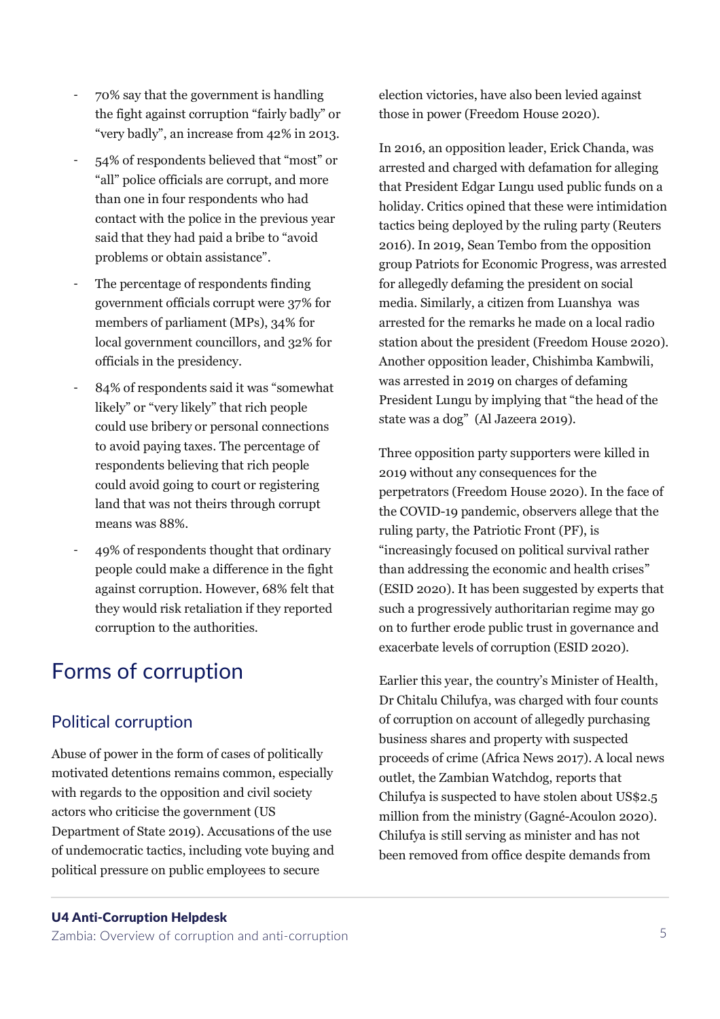- 70% say that the government is handling the fight against corruption "fairly badly" or "very badly", an increase from 42% in 2013.
- 54% of respondents believed that "most" or "all" police officials are corrupt, and more than one in four respondents who had contact with the police in the previous year said that they had paid a bribe to "avoid problems or obtain assistance".
- The percentage of respondents finding government officials corrupt were 37% for members of parliament (MPs), 34% for local government councillors, and 32% for officials in the presidency.
- 84% of respondents said it was "somewhat likely" or "very likely" that rich people could use bribery or personal connections to avoid paying taxes. The percentage of respondents believing that rich people could avoid going to court or registering land that was not theirs through corrupt means was 88%.
- 49% of respondents thought that ordinary people could make a difference in the fight against corruption. However, 68% felt that they would risk retaliation if they reported corruption to the authorities.

### Forms of corruption

#### Political corruption

Abuse of power in the form of cases of politically motivated detentions remains common, especially with regards to the opposition and civil society actors who criticise the government (US Department of State 2019). Accusations of the use of undemocratic tactics, including vote buying and political pressure on public employees to secure

#### U4 Anti-Corruption Helpdesk

Zambia: Overview of corruption and anti-corruption 5

election victories, have also been levied against those in power (Freedom House 2020).

In 2016, an opposition leader, Erick Chanda, was arrested and charged with defamation for alleging that President Edgar Lungu used public funds on a holiday. Critics opined that these were intimidation tactics being deployed by the ruling party (Reuters 2016). In 2019, Sean Tembo from the opposition group Patriots for Economic Progress, was arrested for allegedly defaming the president on social media. Similarly, a citizen from Luanshya was arrested for the remarks he made on a local radio station about the president (Freedom House 2020). Another opposition leader, Chishimba Kambwili, was arrested in 2019 on charges of defaming President Lungu by implying that "the head of the state was a dog" (Al Jazeera 2019).

Three opposition party supporters were killed in 2019 without any consequences for the perpetrators (Freedom House 2020). In the face of the COVID-19 pandemic, observers allege that the ruling party, the Patriotic Front (PF), is "increasingly focused on political survival rather than addressing the economic and health crises" (ESID 2020). It has been suggested by experts that such a progressively authoritarian regime may go on to further erode public trust in governance and exacerbate levels of corruption (ESID 2020).

Earlier this year, the country's Minister of Health, Dr Chitalu Chilufya, was charged with four counts of corruption on account of allegedly purchasing business shares and property with suspected proceeds of crime (Africa News 2017). A local news outlet, the Zambian Watchdog, reports that Chilufya is suspected to have stolen about US\$2.5 million from the ministry (Gagné-Acoulon 2020). Chilufya is still serving as minister and has not been removed from office despite demands from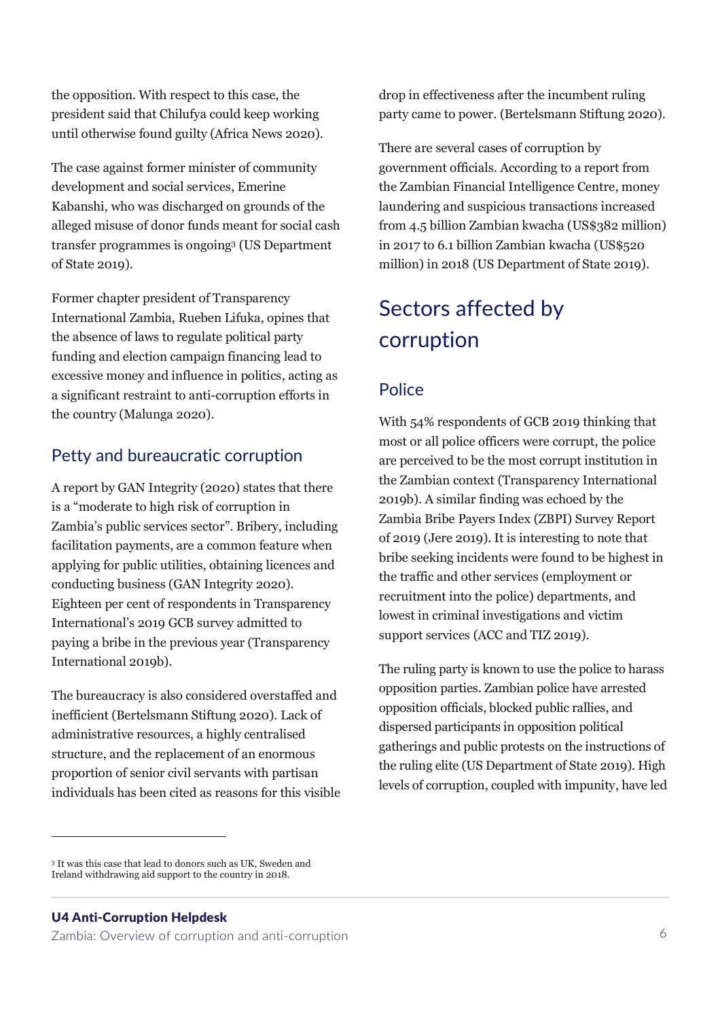the opposition. With respect to this case, the president said that Chilufya could keep working until otherwise found guilty (Africa News 2020).

The case against former minister of community development and social services, Emerine Kabanshi, who was discharged on grounds of the alleged misuse of donor funds meant for social cash transfer programmes is ongoing<sup>3</sup> (US Department of State 2019).

Former chapter president of Transparency International Zambia, Rueben Lifuka, opines that the absence of laws to regulate political party funding and election campaign financing lead to excessive money and influence in politics, acting as a significant restraint to anti-corruption efforts in the country (Malunga 2020).

#### Petty and bureaucratic corruption

A report by GAN Integrity (2020) states that there is a "moderate to high risk of corruption in Zambia's public services sector". Bribery, including facilitation payments, are a common feature when applying for public utilities, obtaining licences and conducting business (GAN Integrity 2020). Eighteen per cent of respondents in Transparency International's 2019 GCB survey admitted to paying a bribe in the previous year (Transparency International 2019b).

The bureaucracy is also considered overstaffed and inefficient (Bertelsmann Stiftung 2020). Lack of administrative resources, a highly centralised structure, and the replacement of an enormous proportion of senior civil servants with partisan individuals has been cited as reasons for this visible drop in effectiveness after the incumbent ruling party came to power. (Bertelsmann Stiftung 2020).

There are several cases of corruption by government officials. According to a report from the Zambian Financial Intelligence Centre, money laundering and suspicious transactions increased from 4.5 billion Zambian kwacha (US\$382 million) in 2017 to 6.1 billion Zambian kwacha (US\$520 million) in 2018 (US Department of State 2019).

### Sectors affected by corruption

#### Police

With 54% respondents of GCB 2019 thinking that most or all police officers were corrupt, the police are perceived to be the most corrupt institution in the Zambian context (Transparency International 2019b). A similar finding was echoed by the Zambia Bribe Payers Index (ZBPI) Survey Report of 2019 (Jere 2019). It is interesting to note that bribe seeking incidents were found to be highest in the traffic and other services (employment or recruitment into the police) departments, and lowest in criminal investigations and victim support services (ACC and TIZ 2019).

The ruling party is known to use the police to harass opposition parties. Zambian police have arrested opposition officials, blocked public rallies, and dispersed participants in opposition political gatherings and public protests on the instructions of the ruling elite (US Department of State 2019). High levels of corruption, coupled with impunity, have led

#### U4 Anti-Corruption Helpdesk

<sup>3</sup> It was this case that lead to donors such as UK, Sweden and Ireland withdrawing aid support to the country in 2018.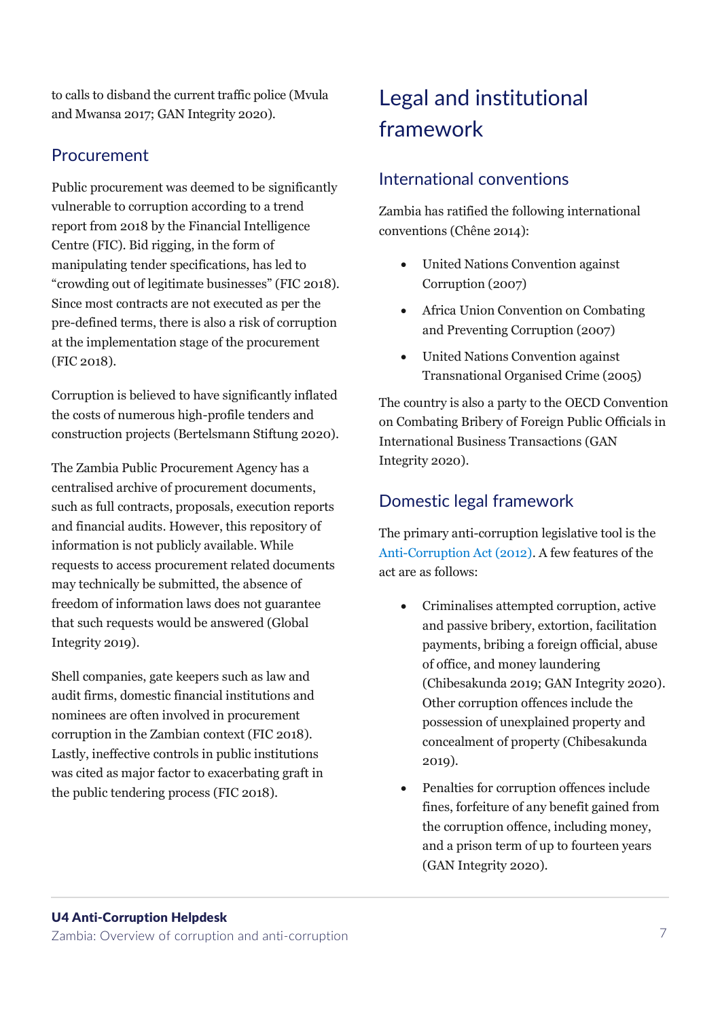to calls to disband the current traffic police (Mvula and Mwansa 2017; GAN Integrity 2020).

#### Procurement

Public procurement was deemed to be significantly vulnerable to corruption according to a trend report from 2018 by the Financial Intelligence Centre (FIC). Bid rigging, in the form of manipulating tender specifications, has led to "crowding out of legitimate businesses" (FIC 2018). Since most contracts are not executed as per the pre-defined terms, there is also a risk of corruption at the implementation stage of the procurement (FIC 2018).

Corruption is believed to have significantly inflated the costs of numerous high-profile tenders and construction projects (Bertelsmann Stiftung 2020).

The Zambia Public Procurement Agency has a centralised archive of procurement documents, such as full contracts, proposals, execution reports and financial audits. However, this repository of information is not publicly available. While requests to access procurement related documents may technically be submitted, the absence of freedom of information laws does not guarantee that such requests would be answered (Global Integrity 2019).

Shell companies, gate keepers such as law and audit firms, domestic financial institutions and nominees are often involved in procurement corruption in the Zambian context (FIC 2018). Lastly, ineffective controls in public institutions was cited as major factor to exacerbating graft in the public tendering process (FIC 2018).

### Legal and institutional framework

#### International conventions

Zambia has ratified the following international conventions (Chêne 2014):

- United Nations Convention against Corruption (2007)
- Africa Union Convention on Combating and Preventing Corruption (2007)
- United Nations Convention against Transnational Organised Crime (2005)

The country is also a party to the OECD Convention on Combating Bribery of Foreign Public Officials in International Business Transactions (GAN Integrity 2020).

#### Domestic legal framework

The primary anti-corruption legislative tool is the [Anti-Corruption Act \(2012\).](http://www.parliament.gov.zm/sites/default/files/documents/acts/Anti%20Corruption%20Act%2C%202012.PDF) A few features of the act are as follows:

- Criminalises attempted corruption, active and passive bribery, extortion, facilitation payments, bribing a foreign official, abuse of office, and money laundering (Chibesakunda 2019; GAN Integrity 2020). Other corruption offences include the possession of unexplained property and concealment of property (Chibesakunda 2019).
- Penalties for corruption offences include fines, forfeiture of any benefit gained from the corruption offence, including money, and a prison term of up to fourteen years (GAN Integrity 2020).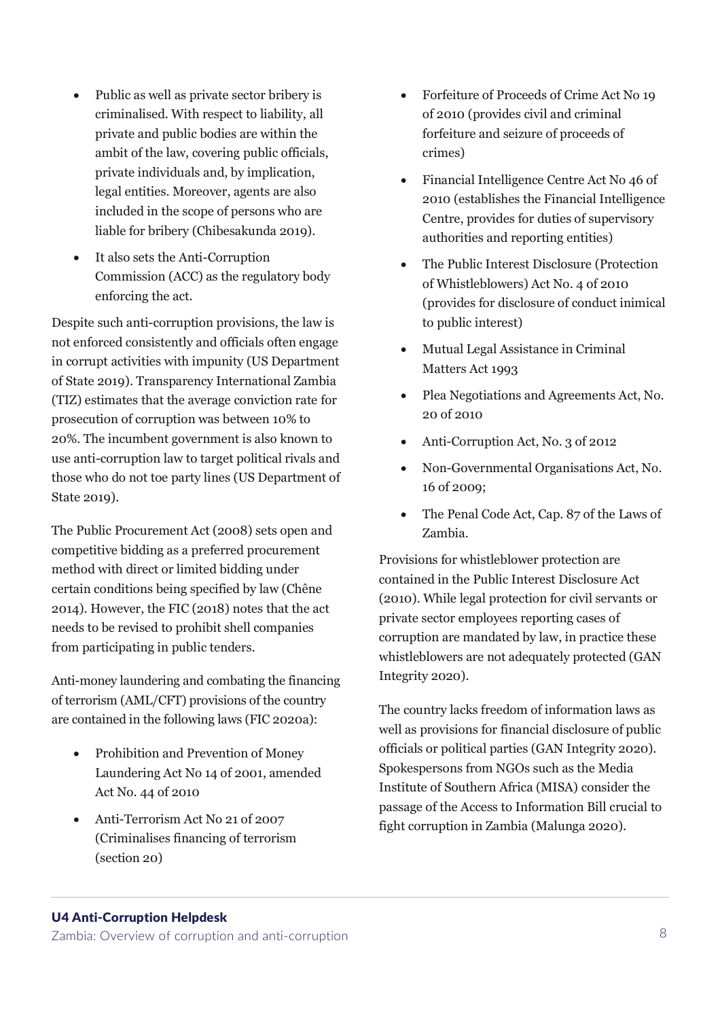- Public as well as private sector bribery is criminalised. With respect to liability, all private and public bodies are within the ambit of the law, covering public officials, private individuals and, by implication, legal entities. Moreover, agents are also included in the scope of persons who are liable for bribery (Chibesakunda 2019).
- It also sets the Anti-Corruption Commission (ACC) as the regulatory body enforcing the act.

Despite such anti-corruption provisions, the law is not enforced consistently and officials often engage in corrupt activities with impunity (US Department of State 2019). Transparency International Zambia (TIZ) estimates that the average conviction rate for prosecution of corruption was between 10% to 20%. The incumbent government is also known to use anti-corruption law to target political rivals and those who do not toe party lines (US Department of State 2019).

The Public Procurement Act (2008) sets open and competitive bidding as a preferred procurement method with direct or limited bidding under certain conditions being specified by law (Chêne 2014). However, the FIC (2018) notes that the act needs to be revised to prohibit shell companies from participating in public tenders.

Anti-money laundering and combating the financing of terrorism (AML/CFT) provisions of the country are contained in the following laws (FIC 2020a):

- Prohibition and Prevention of Money Laundering Act No 14 of 2001, amended Act No. 44 of 2010
- Anti-Terrorism Act No 21 of 2007 (Criminalises financing of terrorism (section 20)
- Forfeiture of Proceeds of Crime Act No 19 of 2010 (provides civil and criminal forfeiture and seizure of proceeds of crimes)
- Financial Intelligence Centre Act No 46 of 2010 (establishes the Financial Intelligence Centre, provides for duties of supervisory authorities and reporting entities)
- The Public Interest Disclosure (Protection of Whistleblowers) Act No. 4 of 2010 (provides for disclosure of conduct inimical to public interest)
- Mutual Legal Assistance in Criminal Matters Act 1993
- Plea Negotiations and Agreements Act, No. 20 of 2010
- Anti-Corruption Act, No. 3 of 2012
- Non-Governmental Organisations Act, No. 16 of 2009;
- The Penal Code Act, Cap. 87 of the Laws of Zambia.

Provisions for whistleblower protection are contained in the Public Interest Disclosure Act (2010). While legal protection for civil servants or private sector employees reporting cases of corruption are mandated by law, in practice these whistleblowers are not adequately protected (GAN Integrity 2020).

The country lacks freedom of information laws as well as provisions for financial disclosure of public officials or political parties (GAN Integrity 2020). Spokespersons from NGOs such as the Media Institute of Southern Africa (MISA) consider the passage of the Access to Information Bill crucial to fight corruption in Zambia (Malunga 2020).

#### U4 Anti-Corruption Helpdesk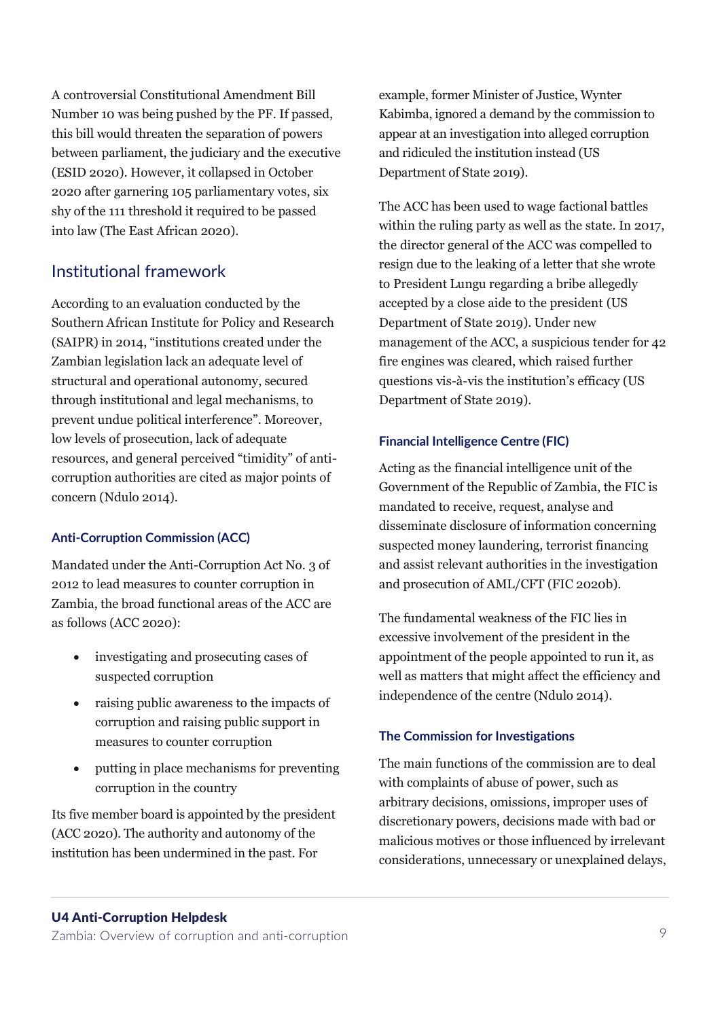A controversial Constitutional Amendment Bill Number 10 was being pushed by the PF. If passed, this bill would threaten the separation of powers between parliament, the judiciary and the executive (ESID 2020). However, it collapsed in October 2020 after garnering 105 parliamentary votes, six shy of the 111 threshold it required to be passed into law (The East African 2020).

#### Institutional framework

According to an evaluation conducted by the Southern African Institute for Policy and Research (SAIPR) in 2014, "institutions created under the Zambian legislation lack an adequate level of structural and operational autonomy, secured through institutional and legal mechanisms, to prevent undue political interference". Moreover, low levels of prosecution, lack of adequate resources, and general perceived "timidity" of anticorruption authorities are cited as major points of concern (Ndulo 2014).

#### **Anti-Corruption Commission (ACC)**

Mandated under the Anti-Corruption Act No. 3 of 2012 to lead measures to counter corruption in Zambia, the broad functional areas of the ACC are as follows (ACC 2020):

- investigating and prosecuting cases of suspected corruption
- raising public awareness to the impacts of corruption and raising public support in measures to counter corruption
- putting in place mechanisms for preventing corruption in the country

Its five member board is appointed by the president (ACC 2020). The authority and autonomy of the institution has been undermined in the past. For

example, former Minister of Justice, Wynter Kabimba, ignored a demand by the commission to appear at an investigation into alleged corruption and ridiculed the institution instead (US Department of State 2019).

The ACC has been used to wage factional battles within the ruling party as well as the state. In 2017, the director general of the ACC was compelled to resign due to the leaking of a letter that she wrote to President Lungu regarding a bribe allegedly accepted by a close aide to the president (US Department of State 2019). Under new management of the ACC, a suspicious tender for 42 fire engines was cleared, which raised further questions vis-à-vis the institution's efficacy (US Department of State 2019).

#### **Financial Intelligence Centre (FIC)**

Acting as the financial intelligence unit of the Government of the Republic of Zambia, the FIC is mandated to receive, request, analyse and disseminate disclosure of information concerning suspected money laundering, terrorist financing and assist relevant authorities in the investigation and prosecution of AML/CFT (FIC 2020b).

The fundamental weakness of the FIC lies in excessive involvement of the president in the appointment of the people appointed to run it, as well as matters that might affect the efficiency and independence of the centre (Ndulo 2014).

#### **The Commission for Investigations**

The main functions of the commission are to deal with complaints of abuse of power, such as arbitrary decisions, omissions, improper uses of discretionary powers, decisions made with bad or malicious motives or those influenced by irrelevant considerations, unnecessary or unexplained delays,

#### U4 Anti-Corruption Helpdesk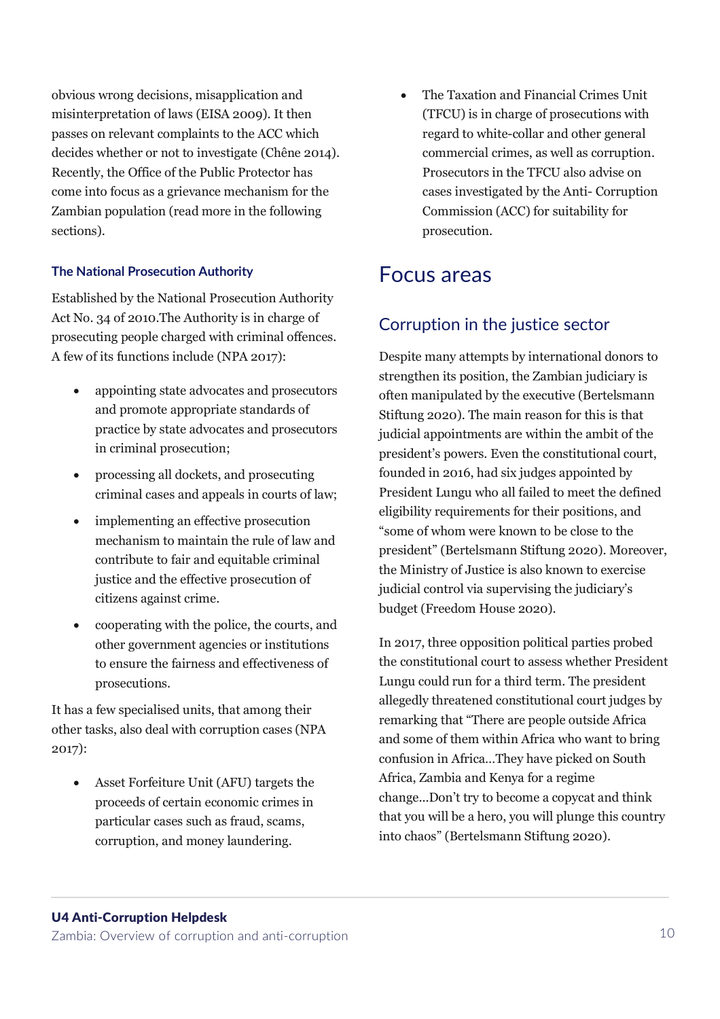obvious wrong decisions, misapplication and misinterpretation of laws (EISA 2009). It then passes on relevant complaints to the ACC which decides whether or not to investigate (Chêne 2014). Recently, the Office of the Public Protector has come into focus as a grievance mechanism for the Zambian population (read more in the following sections).

#### **The National Prosecution Authority**

Established by the National Prosecution Authority Act No. 34 of 2010.The Authority is in charge of prosecuting people charged with criminal offences. A few of its functions include (NPA 2017):

- appointing state advocates and prosecutors and promote appropriate standards of practice by state advocates and prosecutors in criminal prosecution;
- processing all dockets, and prosecuting criminal cases and appeals in courts of law;
- implementing an effective prosecution mechanism to maintain the rule of law and contribute to fair and equitable criminal justice and the effective prosecution of citizens against crime.
- cooperating with the police, the courts, and other government agencies or institutions to ensure the fairness and effectiveness of prosecutions.

It has a few specialised units, that among their other tasks, also deal with corruption cases (NPA 2017):

• Asset Forfeiture Unit (AFU) targets the proceeds of certain economic crimes in particular cases such as fraud, scams, corruption, and money laundering.

• The Taxation and Financial Crimes Unit (TFCU) is in charge of prosecutions with regard to white-collar and other general commercial crimes, as well as corruption. Prosecutors in the TFCU also advise on cases investigated by the Anti- Corruption Commission (ACC) for suitability for prosecution.

### Focus areas

#### Corruption in the justice sector

Despite many attempts by international donors to strengthen its position, the Zambian judiciary is often manipulated by the executive (Bertelsmann Stiftung 2020). The main reason for this is that judicial appointments are within the ambit of the president's powers. Even the constitutional court, founded in 2016, had six judges appointed by President Lungu who all failed to meet the defined eligibility requirements for their positions, and "some of whom were known to be close to the president" (Bertelsmann Stiftung 2020). Moreover, the Ministry of Justice is also known to exercise judicial control via supervising the judiciary's budget (Freedom House 2020).

In 2017, three opposition political parties probed the constitutional court to assess whether President Lungu could run for a third term. The president allegedly threatened constitutional court judges by remarking that "There are people outside Africa and some of them within Africa who want to bring confusion in Africa…They have picked on South Africa, Zambia and Kenya for a regime change...Don't try to become a copycat and think that you will be a hero, you will plunge this country into chaos" (Bertelsmann Stiftung 2020).

#### U4 Anti-Corruption Helpdesk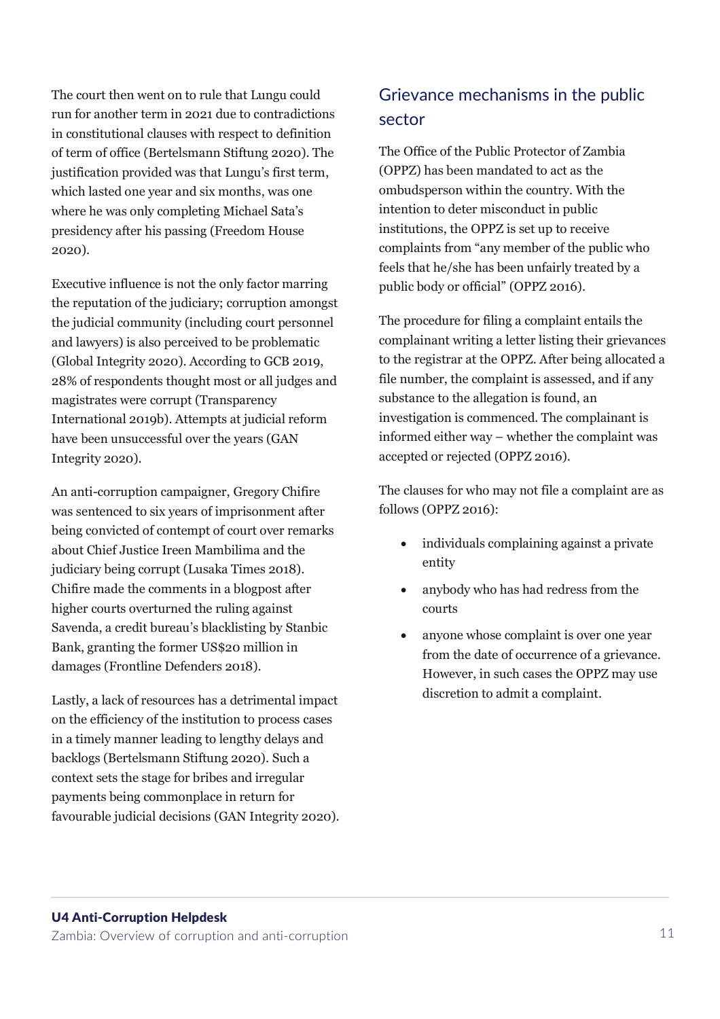The court then went on to rule that Lungu could run for another term in 2021 due to contradictions in constitutional clauses with respect to definition of term of office (Bertelsmann Stiftung 2020). The justification provided was that Lungu's first term, which lasted one year and six months, was one where he was only completing Michael Sata's presidency after his passing (Freedom House 2020).

Executive influence is not the only factor marring the reputation of the judiciary; corruption amongst the judicial community (including court personnel and lawyers) is also perceived to be problematic (Global Integrity 2020). According to GCB 2019, 28% of respondents thought most or all judges and magistrates were corrupt (Transparency International 2019b). Attempts at judicial reform have been unsuccessful over the years (GAN Integrity 2020).

An anti-corruption campaigner, Gregory Chifire was sentenced to six years of imprisonment after being convicted of contempt of court over remarks about Chief Justice Ireen Mambilima and the judiciary being corrupt (Lusaka Times 2018). Chifire made the comments in a blogpost after higher courts overturned the ruling against Savenda, a credit bureau's blacklisting by Stanbic Bank, granting the former US\$20 million in damages (Frontline Defenders 2018).

Lastly, a lack of resources has a detrimental impact on the efficiency of the institution to process cases in a timely manner leading to lengthy delays and backlogs (Bertelsmann Stiftung 2020). Such a context sets the stage for bribes and irregular payments being commonplace in return for favourable judicial decisions (GAN Integrity 2020).

### Grievance mechanisms in the public sector

The Office of the Public Protector of Zambia (OPPZ) has been mandated to act as the ombudsperson within the country. With the intention to deter misconduct in public institutions, the OPPZ is set up to receive complaints from "any member of the public who feels that he/she has been unfairly treated by a public body or official" (OPPZ 2016).

The procedure for filing a complaint entails the complainant writing a letter listing their grievances to the registrar at the OPPZ. After being allocated a file number, the complaint is assessed, and if any substance to the allegation is found, an investigation is commenced. The complainant is informed either way – whether the complaint was accepted or rejected (OPPZ 2016).

The clauses for who may not file a complaint are as follows (OPPZ 2016):

- individuals complaining against a private entity
- anybody who has had redress from the courts
- anyone whose complaint is over one year from the date of occurrence of a grievance. However, in such cases the OPPZ may use discretion to admit a complaint.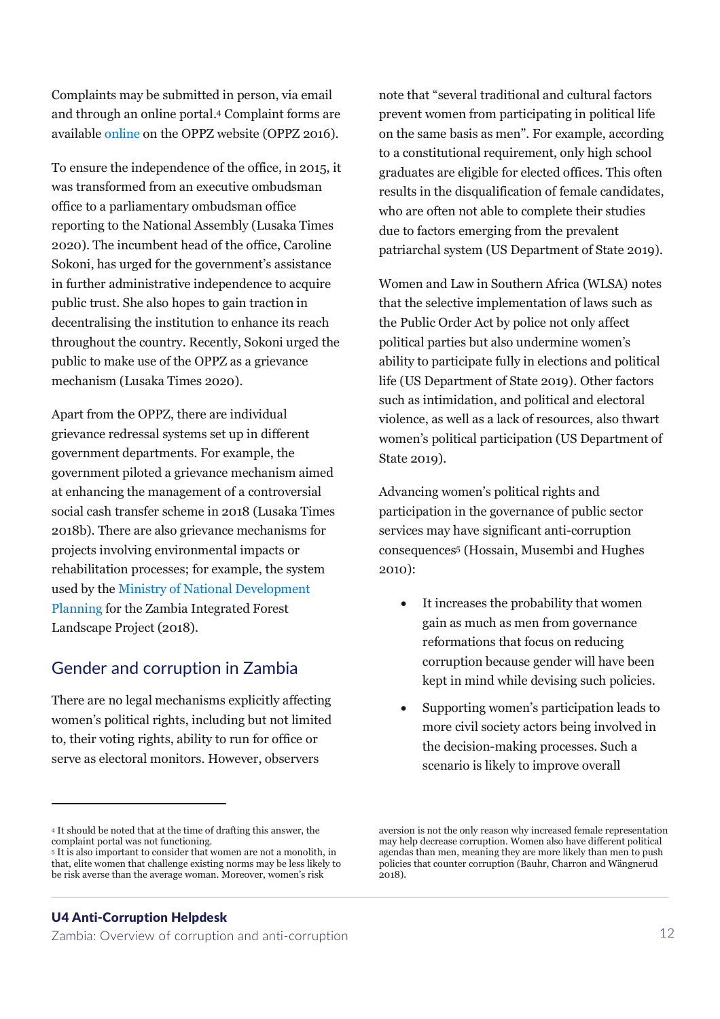Complaints may be submitted in person, via email and through an online portal. <sup>4</sup> Complaint forms are available [online](http://www.oppz.gov.zm/complaint.php) on the OPPZ website (OPPZ 2016).

To ensure the independence of the office, in 2015, it was transformed from an executive ombudsman office to a parliamentary ombudsman office reporting to the National Assembly (Lusaka Times 2020). The incumbent head of the office, Caroline Sokoni, has urged for the government's assistance in further administrative independence to acquire public trust. She also hopes to gain traction in decentralising the institution to enhance its reach throughout the country. Recently, Sokoni urged the public to make use of the OPPZ as a grievance mechanism (Lusaka Times 2020).

Apart from the OPPZ, there are individual grievance redressal systems set up in different government departments. For example, the government piloted a grievance mechanism aimed at enhancing the management of a controversial social cash transfer scheme in 2018 (Lusaka Times 2018b). There are also grievance mechanisms for projects involving environmental impacts or rehabilitation processes; for example, the system used by th[e Ministry of National Development](https://www.google.com/url?sa=t&rct=j&q=&esrc=s&source=web&cd=&ved=2ahUKEwiYyZjpq_zsAhWE_KQKHZZTChoQFjAEegQIBhAC&url=http%3A%2F%2Fziflp.org.zm%2Fwp-content%2Fuploads%2F2018%2F12%2FFEEDBACK-AND-GRIEVANCE-REDRESS-MECHANISM.docx&usg=AOvVaw37Knmtl-nAmaf4zkxsUhI8)  [Planning](https://www.google.com/url?sa=t&rct=j&q=&esrc=s&source=web&cd=&ved=2ahUKEwiYyZjpq_zsAhWE_KQKHZZTChoQFjAEegQIBhAC&url=http%3A%2F%2Fziflp.org.zm%2Fwp-content%2Fuploads%2F2018%2F12%2FFEEDBACK-AND-GRIEVANCE-REDRESS-MECHANISM.docx&usg=AOvVaw37Knmtl-nAmaf4zkxsUhI8) for the Zambia Integrated Forest Landscape Project (2018).

#### Gender and corruption in Zambia

There are no legal mechanisms explicitly affecting women's political rights, including but not limited to, their voting rights, ability to run for office or serve as electoral monitors. However, observers

<sup>4</sup> It should be noted that at the time of drafting this answer, the complaint portal was not functioning.

#### U4 Anti-Corruption Helpdesk

Zambia: Overview of corruption and anti-corruption 12

note that "several traditional and cultural factors prevent women from participating in political life on the same basis as men". For example, according to a constitutional requirement, only high school graduates are eligible for elected offices. This often results in the disqualification of female candidates, who are often not able to complete their studies due to factors emerging from the prevalent patriarchal system (US Department of State 2019).

Women and Law in Southern Africa (WLSA) notes that the selective implementation of laws such as the Public Order Act by police not only affect political parties but also undermine women's ability to participate fully in elections and political life (US Department of State 2019). Other factors such as intimidation, and political and electoral violence, as well as a lack of resources, also thwart women's political participation (US Department of State 2019).

Advancing women's political rights and participation in the governance of public sector services may have significant anti-corruption consequences<sup>5</sup> (Hossain, Musembi and Hughes 2010):

- It increases the probability that women gain as much as men from governance reformations that focus on reducing corruption because gender will have been kept in mind while devising such policies.
- Supporting women's participation leads to more civil society actors being involved in the decision-making processes. Such a scenario is likely to improve overall

<sup>5</sup> It is also important to consider that women are not a monolith, in that, elite women that challenge existing norms may be less likely to be risk averse than the average woman. Moreover, women's risk

aversion is not the only reason why increased female representation may help decrease corruption. Women also have different political agendas than men, meaning they are more likely than men to push policies that counter corruption (Bauhr, Charron and Wängnerud  $2018$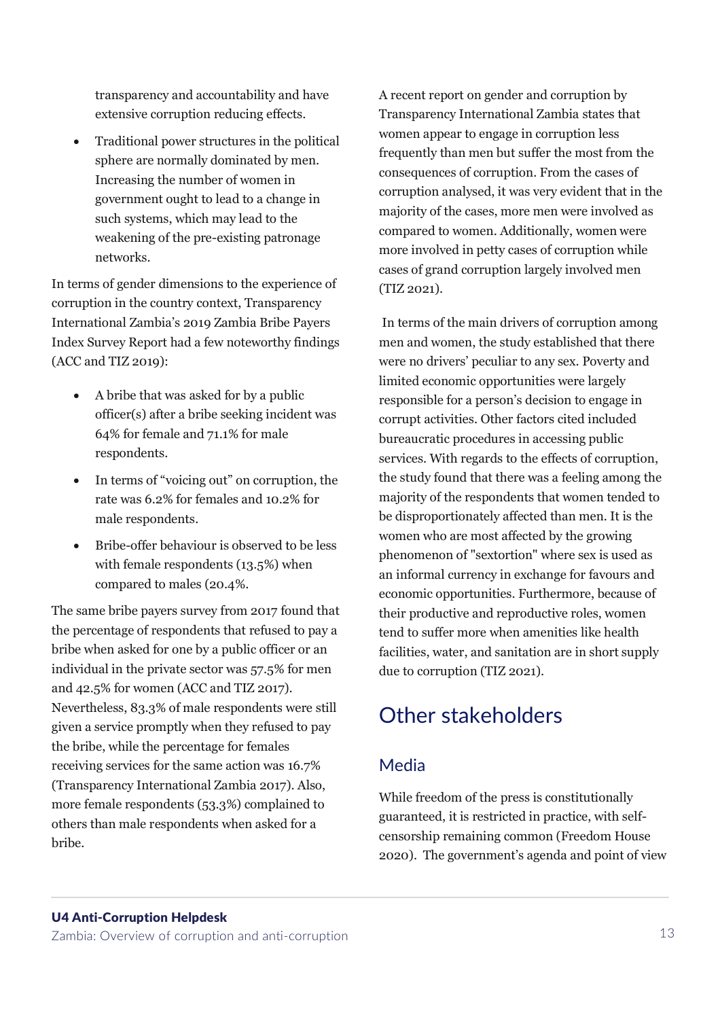transparency and accountability and have extensive corruption reducing effects.

• Traditional power structures in the political sphere are normally dominated by men. Increasing the number of women in government ought to lead to a change in such systems, which may lead to the weakening of the pre-existing patronage networks.

In terms of gender dimensions to the experience of corruption in the country context, Transparency International Zambia's 2019 Zambia Bribe Payers Index Survey Report had a few noteworthy findings (ACC and TIZ 2019):

- A bribe that was asked for by a public officer(s) after a bribe seeking incident was 64% for female and 71.1% for male respondents.
- In terms of "voicing out" on corruption, the rate was 6.2% for females and 10.2% for male respondents.
- Bribe-offer behaviour is observed to be less with female respondents (13.5%) when compared to males (20.4%.

The same bribe payers survey from 2017 found that the percentage of respondents that refused to pay a bribe when asked for one by a public officer or an individual in the private sector was 57.5% for men and 42.5% for women (ACC and TIZ 2017). Nevertheless, 83.3% of male respondents were still given a service promptly when they refused to pay the bribe, while the percentage for females receiving services for the same action was 16.7% (Transparency International Zambia 2017). Also, more female respondents (53.3%) complained to others than male respondents when asked for a bribe.

A recent report on gender and corruption by Transparency International Zambia states that women appear to engage in corruption less frequently than men but suffer the most from the consequences of corruption. From the cases of corruption analysed, it was very evident that in the majority of the cases, more men were involved as compared to women. Additionally, women were more involved in petty cases of corruption while cases of grand corruption largely involved men (TIZ 2021).

In terms of the main drivers of corruption among men and women, the study established that there were no drivers' peculiar to any sex. Poverty and limited economic opportunities were largely responsible for a person's decision to engage in corrupt activities. Other factors cited included bureaucratic procedures in accessing public services. With regards to the effects of corruption, the study found that there was a feeling among the majority of the respondents that women tended to be disproportionately affected than men. It is the women who are most affected by the growing phenomenon of "sextortion" where sex is used as an informal currency in exchange for favours and economic opportunities. Furthermore, because of their productive and reproductive roles, women tend to suffer more when amenities like health facilities, water, and sanitation are in short supply due to corruption (TIZ 2021).

### Other stakeholders

#### Media

While freedom of the press is constitutionally guaranteed, it is restricted in practice, with selfcensorship remaining common (Freedom House 2020). The government's agenda and point of view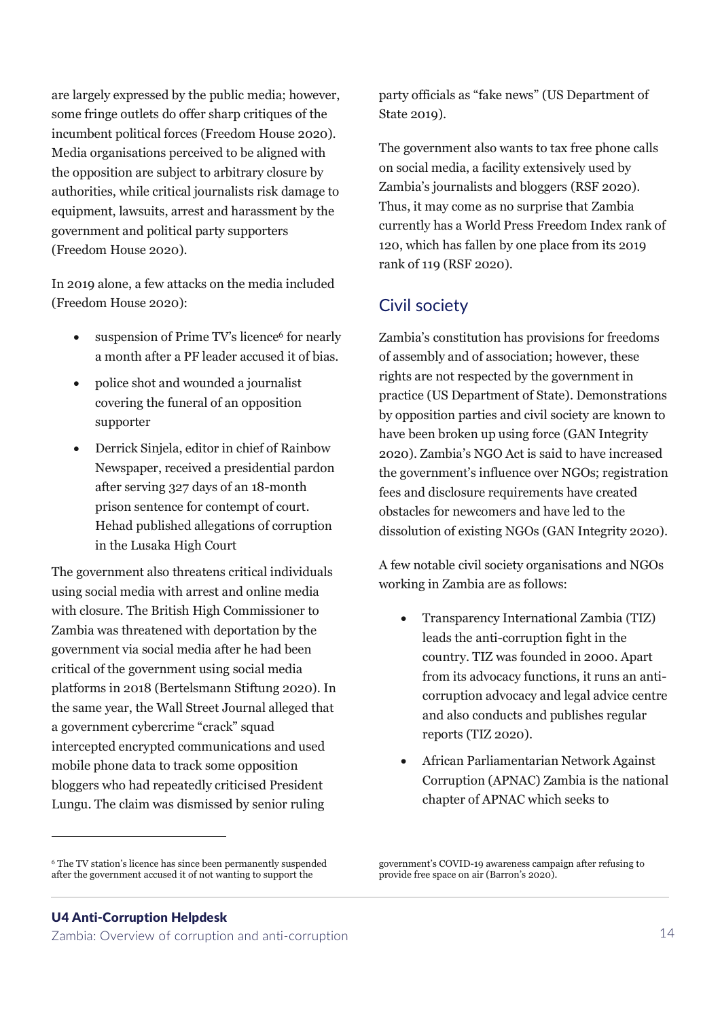are largely expressed by the public media; however, some fringe outlets do offer sharp critiques of the incumbent political forces (Freedom House 2020). Media organisations perceived to be aligned with the opposition are subject to arbitrary closure by authorities, while critical journalists risk damage to equipment, lawsuits, arrest and harassment by the government and political party supporters (Freedom House 2020).

In 2019 alone, a few attacks on the media included (Freedom House 2020):

- suspension of Prime TV's licence<sup>6</sup> for nearly a month after a PF leader accused it of bias.
- police shot and wounded a journalist covering the funeral of an opposition supporter
- Derrick Sinjela, editor in chief of Rainbow Newspaper, received a presidential pardon after serving 327 days of an 18-month prison sentence for contempt of court. Hehad published allegations of corruption in the Lusaka High Court

The government also threatens critical individuals using social media with arrest and online media with closure. The British High Commissioner to Zambia was threatened with deportation by the government via social media after he had been critical of the government using social media platforms in 2018 (Bertelsmann Stiftung 2020). In the same year, the Wall Street Journal alleged that a government cybercrime "crack" squad intercepted encrypted communications and used mobile phone data to track some opposition bloggers who had repeatedly criticised President Lungu. The claim was dismissed by senior ruling

party officials as "fake news" (US Department of State 2019).

The government also wants to tax free phone calls on social media, a facility extensively used by Zambia's journalists and bloggers (RSF 2020). Thus, it may come as no surprise that Zambia currently has a World Press Freedom Index rank of 120, which has fallen by one place from its 2019 rank of 119 (RSF 2020).

#### Civil society

Zambia's constitution has provisions for freedoms of assembly and of association; however, these rights are not respected by the government in practice (US Department of State). Demonstrations by opposition parties and civil society are known to have been broken up using force (GAN Integrity 2020). Zambia's NGO Act is said to have increased the government's influence over NGOs; registration fees and disclosure requirements have created obstacles for newcomers and have led to the dissolution of existing NGOs (GAN Integrity 2020).

A few notable civil society organisations and NGOs working in Zambia are as follows:

- Transparency International Zambia (TIZ) leads the anti-corruption fight in the country. TIZ was founded in 2000. Apart from its advocacy functions, it runs an anticorruption advocacy and legal advice centre and also conducts and publishes regular reports (TIZ 2020).
- African Parliamentarian Network Against Corruption (APNAC) Zambia is the national chapter of APNAC which seeks to

<sup>6</sup> The TV station's licence has since been permanently suspended after the government accused it of not wanting to support the

government's COVID-19 awareness campaign after refusing to provide free space on air (Barron's 2020).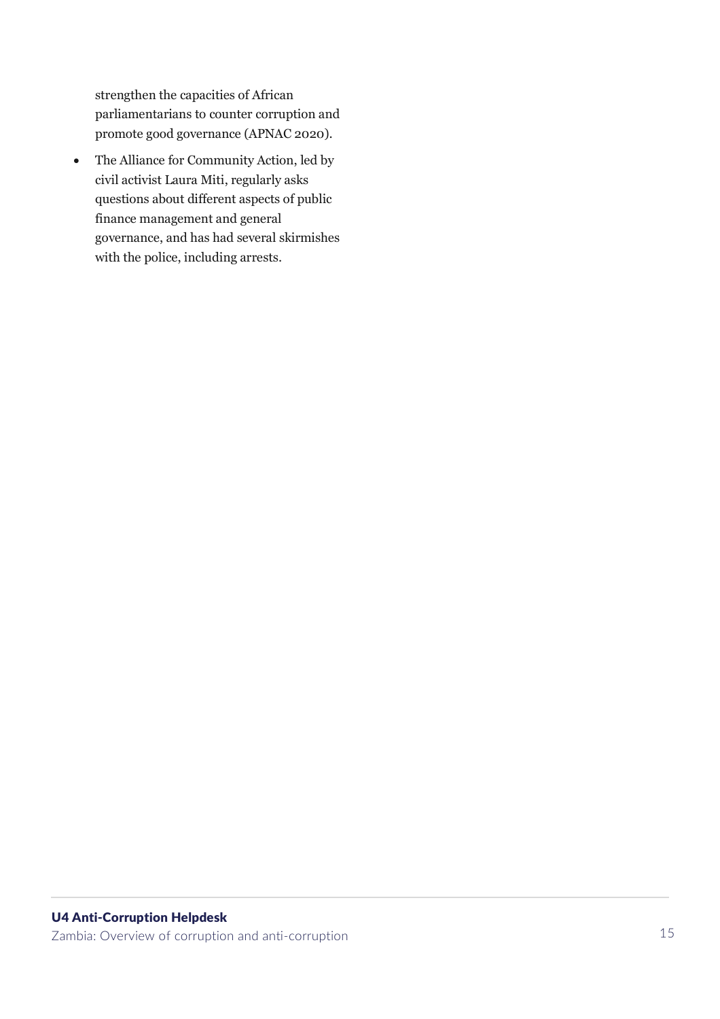strengthen the capacities of African parliamentarians to counter corruption and promote good governance (APNAC 2020).

• The Alliance for Community Action, led by civil activist Laura Miti, regularly asks questions about different aspects of public finance management and general governance, and has had several skirmishes with the police, including arrests.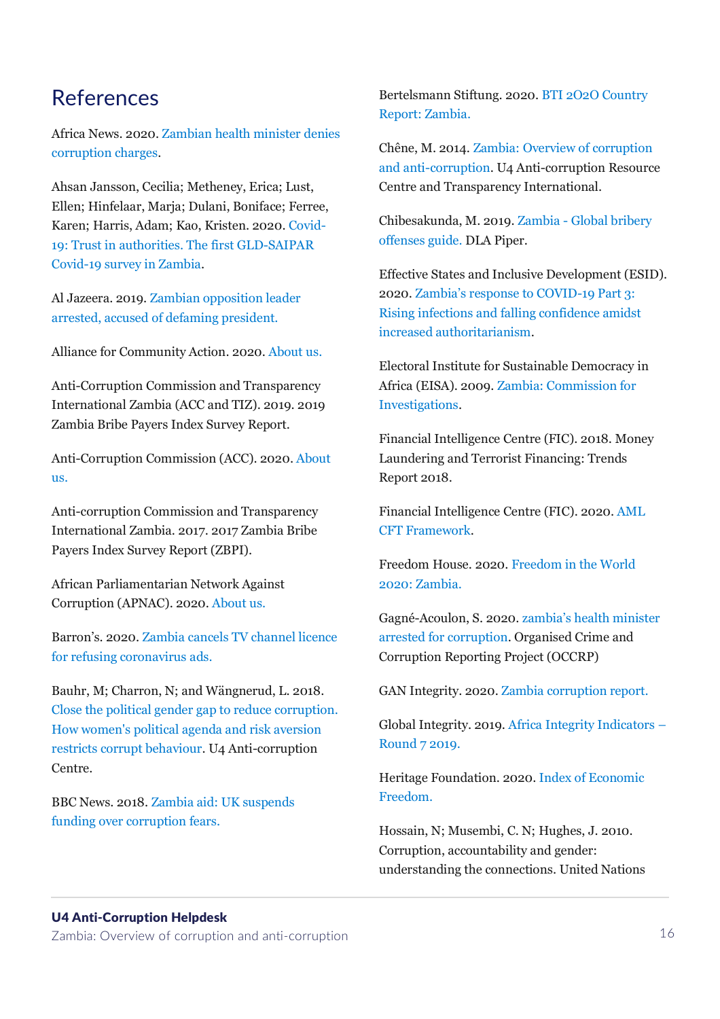### References

Africa News. 2020. [Zambian health minister denies](https://www.africanews.com/2020/07/17/zambian-health-minister-denies-corruption-charges/)  [corruption charges.](https://www.africanews.com/2020/07/17/zambian-health-minister-denies-corruption-charges/)

Ahsan Jansson, Cecilia; Metheney, Erica; Lust, Ellen; Hinfelaar, Marja; Dulani, Boniface; Ferree, Karen; Harris, Adam; Kao, Kristen. 2020[. Covid-](https://prezi.com/i/b46ibdq8clq0/trustinauthorities_zambia/)[19: Trust in authorities. The first GLD-SAIPAR](https://prezi.com/i/b46ibdq8clq0/trustinauthorities_zambia/)  [Covid-19 survey in Zambia.](https://prezi.com/i/b46ibdq8clq0/trustinauthorities_zambia/)

Al Jazeera. 2019. [Zambian opposition leader](https://www.aljazeera.com/news/2019/8/28/zambian-opposition-leader-arrested-accused-of-defaming-president)  [arrested, accused of defaming president.](https://www.aljazeera.com/news/2019/8/28/zambian-opposition-leader-arrested-accused-of-defaming-president)

Alliance for Community Action. 2020[. About us.](https://acazambia.org/us/)

Anti-Corruption Commission and Transparency International Zambia (ACC and TIZ). 2019. 2019 Zambia Bribe Payers Index Survey Report.

Anti-Corruption Commission (ACC). 2020. [About](http://www.acc.gov.zm/mandate/)  [us.](http://www.acc.gov.zm/mandate/)

Anti-corruption Commission and Transparency International Zambia. 2017. 2017 Zambia Bribe Payers Index Survey Report (ZBPI).

African Parliamentarian Network Against Corruption (APNAC). 2020. [About us.](https://apnacafrica.org/en_US/african-parliamentarians-network-against-corruption/)

Barron's. 2020. Zambia cancels [TV channel licence](https://app.grammarly.com/ddocs/985680991)  [for refusing coronavirus ads.](https://app.grammarly.com/ddocs/985680991)

Bauhr, M; Charron, N; and Wängnerud, L. 2018. [Close the political gender gap to reduce corruption.](https://www.u4.no/publications/close-the-political-gender-gap-to-reduce-corruption)  [How women's political agenda and risk aversion](https://www.u4.no/publications/close-the-political-gender-gap-to-reduce-corruption)  [restricts corrupt behaviour.](https://www.u4.no/publications/close-the-political-gender-gap-to-reduce-corruption) U4 Anti-corruption Centre.

BBC News. 2018. [Zambia aid: UK suspends](https://www.bbc.com/news/world-africa-45560404)  [funding over corruption fears.](https://www.bbc.com/news/world-africa-45560404)

Bertelsmann Stiftung. 2020[. BTI 2O2O Country](https://www.bti-project.org/content/en/downloads/reports/country_report_2020_ZMB.pdf)  [Report: Zambia.](https://www.bti-project.org/content/en/downloads/reports/country_report_2020_ZMB.pdf)

Chêne, M. 2014. Zambia: [Overview of corruption](https://www.u4.no/publications/zambia-overview-of-corruption-and-anti-corruption.pdf)  [and anti-corruption.](https://www.u4.no/publications/zambia-overview-of-corruption-and-anti-corruption.pdf) U4 Anti-corruption Resource Centre and Transparency International.

Chibesakunda, M. 2019. Zambia - [Global bribery](https://www.dlapiper.com/en/us/insights/publications/2019/09/bribery-offenses-guide/zambia/)  [offenses guide.](https://www.dlapiper.com/en/us/insights/publications/2019/09/bribery-offenses-guide/zambia/) DLA Piper.

Effective States and Inclusive Development (ESID). 2020. Z[ambia's response to COVID](http://www.effective-states.org/zambias-response-to-covid-19-part-3-rising-infections-and-falling-confidence-amidst-increased-authoritarianism/)-19 Part 3: [Rising infections and falling confidence amidst](http://www.effective-states.org/zambias-response-to-covid-19-part-3-rising-infections-and-falling-confidence-amidst-increased-authoritarianism/)  [increased authoritarianism.](http://www.effective-states.org/zambias-response-to-covid-19-part-3-rising-infections-and-falling-confidence-amidst-increased-authoritarianism/)

Electoral Institute for Sustainable Democracy in Africa (EISA). 2009[. Zambia: Commission for](https://www.eisa.org/wep/zamagency2.htm)  [Investigations.](https://www.eisa.org/wep/zamagency2.htm)

Financial Intelligence Centre (FIC). 2018. Money Laundering and Terrorist Financing: Trends Report 2018.

Financial Intelligence Centre (FIC). 2020. [AML](https://www.fic.gov.zm/aml-cft-framework)  [CFT Framework.](https://www.fic.gov.zm/aml-cft-framework)

Freedom House. 2020[. Freedom in the World](https://freedomhouse.org/country/zambia/freedom-world/2020)  [2020: Zambia.](https://freedomhouse.org/country/zambia/freedom-world/2020)

Gagné-Acoulon, S. 2020. [zambia's health minister](https://www.occrp.org/en/daily/12630-zambia-s-health-minister-arrested-for-corruption)  [arrested for corruption.](https://www.occrp.org/en/daily/12630-zambia-s-health-minister-arrested-for-corruption) Organised Crime and Corruption Reporting Project (OCCRP)

GAN Integrity. 2020[. Zambia corruption report.](https://www.ganintegrity.com/portal/country-profiles/zambia/)

Global Integrity. 2019. [Africa Integrity Indicators](https://www.globalintegrity.org/resource/africa-integrity-indicators-round-7-2019-xls/) – [Round 7 2019.](https://www.globalintegrity.org/resource/africa-integrity-indicators-round-7-2019-xls/)

Heritage Foundation. 2020[. Index of Economic](https://www.heritage.org/index/country/zambia)  [Freedom.](https://www.heritage.org/index/country/zambia)

Hossain, N; Musembi, C. N; Hughes, J. 2010. Corruption, accountability and gender: understanding the connections. United Nations

#### U4 Anti-Corruption Helpdesk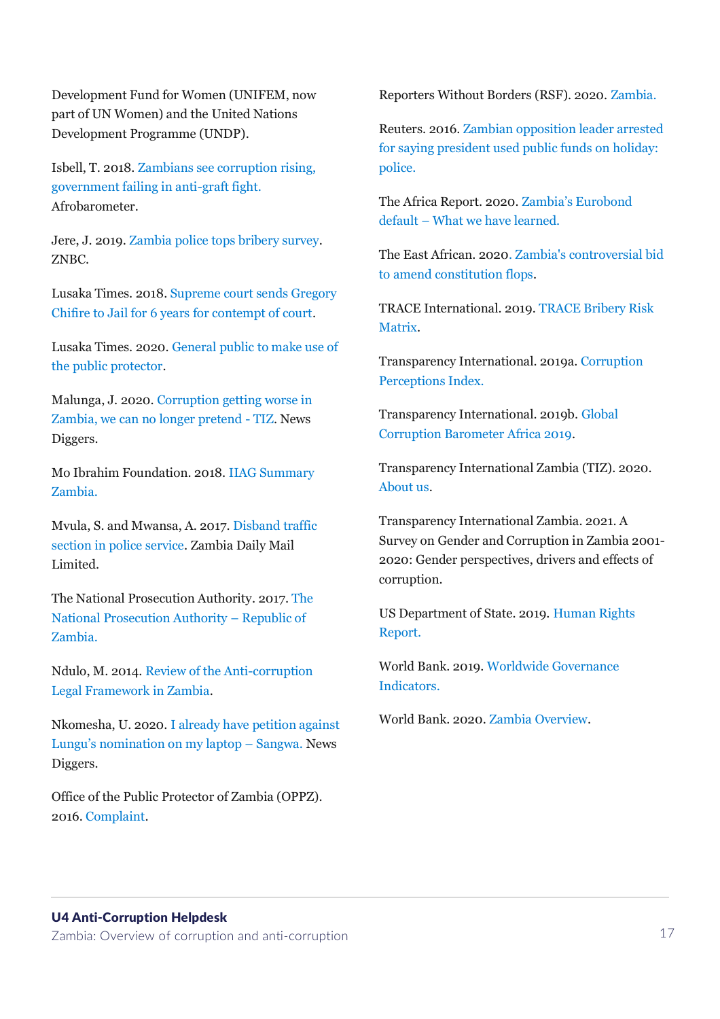Development Fund for Women (UNIFEM, now part of UN Women) and the United Nations Development Programme (UNDP).

Isbell, T. 2018. [Zambians see corruption rising,](https://afrobarometer.org/sites/default/files/publications/Dispatches/ab_r7_dispatchno213_corruption_in_zambia_1.pdf)  [government failing in anti-graft fight.](https://afrobarometer.org/sites/default/files/publications/Dispatches/ab_r7_dispatchno213_corruption_in_zambia_1.pdf) Afrobarometer.

Jere, J. 2019[. Zambia police tops bribery survey.](https://www.znbc.co.zm/news/zambia-police-tops-bribery-survey/) ZNBC.

Lusaka Times. 2018[. Supreme court sends Gregory](https://www.lusakatimes.com/2018/11/23/supreme-court-sends-gregory-chifire-to-jail-for-6-years-for-contempt-of-court/)  [Chifire to Jail for 6 years for contempt of court.](https://www.lusakatimes.com/2018/11/23/supreme-court-sends-gregory-chifire-to-jail-for-6-years-for-contempt-of-court/)

Lusaka Times. 2020. [General public to make use of](https://www.lusakatimes.com/2020/10/16/general-public-to-make-use-of-the-public-protector/)  [the public protector.](https://www.lusakatimes.com/2020/10/16/general-public-to-make-use-of-the-public-protector/)

Malunga, J. 2020[. Corruption getting worse in](https://diggers.news/local/2020/01/25/corruption-getting-worse-in-zambia-we-can-no-longer-pretend-tiz/)  [Zambia, we can no longer pretend -](https://diggers.news/local/2020/01/25/corruption-getting-worse-in-zambia-we-can-no-longer-pretend-tiz/) TIZ. News Diggers.

Mo Ibrahim Foundation. 2018. [IIAG Summary](http://iiag.online/)  [Zambia.](http://iiag.online/)

Mvula, S. and Mwansa, A. 2017[. Disband traffic](http://www.daily-mail.co.zm/disband-traffic-section-in-police-service/)  [section in police service.](http://www.daily-mail.co.zm/disband-traffic-section-in-police-service/) Zambia Daily Mail Limited.

The National Prosecution Authority. 2017. [The](http://www.npa.gov.zm/)  [National Prosecution Authority](http://www.npa.gov.zm/) – Republic of [Zambia.](http://www.npa.gov.zm/)

Ndulo, M. 2014. [Review of the Anti-corruption](http://saipar.org/wp-content/uploads/2013/09/Ndulo_Review-of-the-Anti-corruption-Legal-Framework.pdf) [Legal Framework in Zambia.](http://saipar.org/wp-content/uploads/2013/09/Ndulo_Review-of-the-Anti-corruption-Legal-Framework.pdf)

Nkomesha, U. 2020. [I already have petition against](https://diggers.news/local/2020/06/29/its-no-secret-ive-petition-challenging-lungus-nomination-on-my-laptop-sangwa/)  [Lungu's nomination on my laptop –](https://diggers.news/local/2020/06/29/its-no-secret-ive-petition-challenging-lungus-nomination-on-my-laptop-sangwa/) Sangwa. News Diggers.

Office of the Public Protector of Zambia (OPPZ). 2016[. Complaint.](http://www.oppz.gov.zm/complaint.php)

Reporters Without Borders (RSF). 2020[. Zambia.](https://rsf.org/en/zambia)

Reuters. 2016. [Zambian opposition leader arrested](https://de.reuters.com/article/us-zambia-politics-idUSKCN0WN1H0)  [for saying president used public funds](https://de.reuters.com/article/us-zambia-politics-idUSKCN0WN1H0) on holiday: [police.](https://de.reuters.com/article/us-zambia-politics-idUSKCN0WN1H0)

The Africa Report. 2020. [Zambia's Eurobond](https://www.theafricareport.com/50664/zambias-eurobond-default-what-we-have-learned/)  default – [What we have learned.](https://www.theafricareport.com/50664/zambias-eurobond-default-what-we-have-learned/)

The East African. 202[0. Zambia's controversial bid](https://www.theeastafrican.co.ke/tea/rest-of-africa/zambia-s-controversial-bid-to-amend-constitution-flops-2726272) [to amend constitution flops.](https://www.theeastafrican.co.ke/tea/rest-of-africa/zambia-s-controversial-bid-to-amend-constitution-flops-2726272)

TRACE International. 2019. [TRACE Bribery Risk](https://www.traceinternational.org/trace-matrix#matrix-results)  [Matrix.](https://www.traceinternational.org/trace-matrix#matrix-results)

Transparency International. 2019a[. Corruption](https://www.transparency.org/en/cpi/2019/results/table?)  [Perceptions Index.](https://www.transparency.org/en/cpi/2019/results/table?)

Transparency International. 2019b. [Global](https://images.transparencycdn.org/images/2019_GCB_Africa3.pdf)  [Corruption Barometer Africa 2019.](https://images.transparencycdn.org/images/2019_GCB_Africa3.pdf)

Transparency International Zambia (TIZ). 2020. [About us.](http://tizzambia.org/who-we-are/)

Transparency International Zambia. 2021. A Survey on Gender and Corruption in Zambia 2001- 2020: Gender perspectives, drivers and effects of corruption.

US Department of State. 2019. [Human Rights](https://www.state.gov/wp-content/uploads/2020/03/ZAMBIA-2019-HUMAN-RIGHTS-REPORT.pdf)  [Report.](https://www.state.gov/wp-content/uploads/2020/03/ZAMBIA-2019-HUMAN-RIGHTS-REPORT.pdf)

World Bank. 2019. [Worldwide Governance](https://databank.worldbank.org/source/worldwide-governance-indicators)  [Indicators.](https://databank.worldbank.org/source/worldwide-governance-indicators)

World Bank. 2020. [Zambia Overview.](https://www.worldbank.org/en/country/zambia/overview)

#### U4 Anti-Corruption Helpdesk